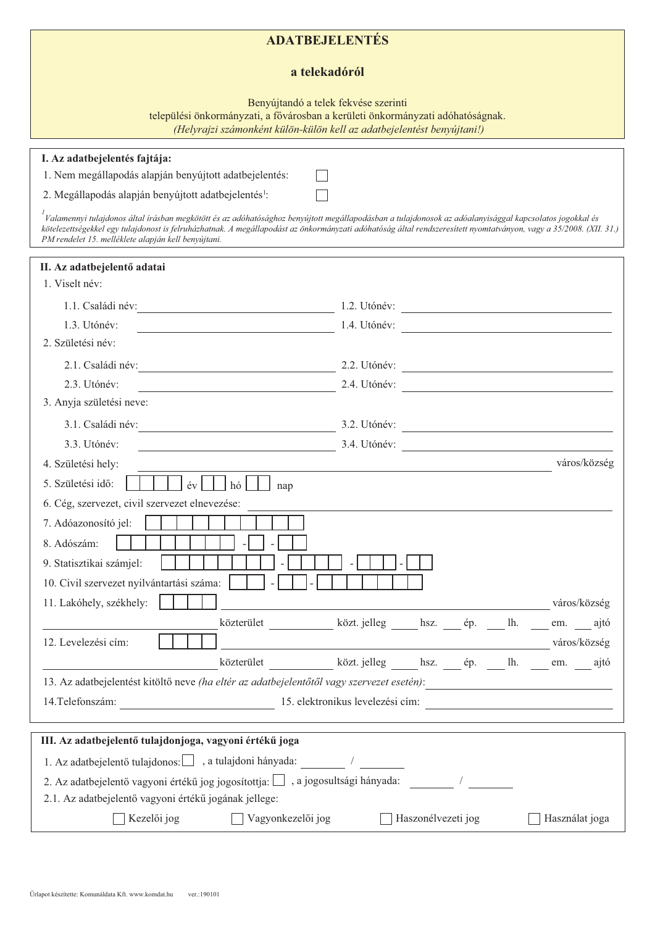## $ADATBEJELENTÉS$

## a telekadóról

Benyújtandó a telek fekvése szerinti

települési önkormányzati, a fővárosban a kerületi önkormányzati adóhatóságnak.

*(Helyrajzi számonként külön-külön kell az adatbejelentést benyújtani!)* 

 $\Box$  $\Box$ 

## **I.** Az adatbejelentés fajtája:

1. Nem megállapodás alapján benyújtott adatbejelentés:

2. Megállapodás alapján benyújtott adatbejelentés<sup>1</sup>:

<sup>1</sup><br>Valamennyi tulajdonos által írásban megkötött és az adóhatósághoz benyújtott megállapodásban a tulajdonosok az adóalanyisággal kapcsolatos jogokkal és kötelezettségekkel egy tulajdonost is felruházhatnak. A megállapodást az önkormányzati adóhatóság által rendszeresített nyomtatványon, vagy a 35/2008. (XII. 31.)  $PM$ rendelet 15. melléklete alapján kell benyújtani.

| II. Az adatbejelentő adatai                                                                                                                                                                         |                                                                                                                                                                                                                                |  |  |  |
|-----------------------------------------------------------------------------------------------------------------------------------------------------------------------------------------------------|--------------------------------------------------------------------------------------------------------------------------------------------------------------------------------------------------------------------------------|--|--|--|
| 1. Viselt név:                                                                                                                                                                                      |                                                                                                                                                                                                                                |  |  |  |
|                                                                                                                                                                                                     | 1.2. Utónév:                                                                                                                                                                                                                   |  |  |  |
| 1.3. Utónév:                                                                                                                                                                                        | 1.4. Utónév:                                                                                                                                                                                                                   |  |  |  |
| 2. Születési név:                                                                                                                                                                                   |                                                                                                                                                                                                                                |  |  |  |
| 2.1. Családi név:<br><u> 1980 - Johann Barbara, martin di</u>                                                                                                                                       | 2.2. Utónév:                                                                                                                                                                                                                   |  |  |  |
| 2.3. Utónév:<br><u> 1980 - Johann Barn, fransk politik (d. 1980)</u>                                                                                                                                | 2.4. Utónév:                                                                                                                                                                                                                   |  |  |  |
| 3. Anyja születési neve:                                                                                                                                                                            |                                                                                                                                                                                                                                |  |  |  |
|                                                                                                                                                                                                     | 3.1. Családi név: 1.1. Családi név: 1.1. Családi név: 1.1. Családi név: 1.1. Családi név: 1.1. Családi név: 1.1. Családi név: 1.1. Családi név: 1.1. Családi név: 1.1. Családi név: 1.1. Családi név: 1.1. Családi név: 1.1. C |  |  |  |
| 3.3. Utónév:<br><u> 1980 - Johann Barn, fransk politik (d. 1980)</u>                                                                                                                                | 3.4. Utónév:                                                                                                                                                                                                                   |  |  |  |
| város/község<br><u> 1989 - Johann Barn, mars eta bainar eta baina eta baina eta baina eta baina eta baina eta baina eta baina eta</u><br>4. Születési hely:                                         |                                                                                                                                                                                                                                |  |  |  |
| 5. Születési idő:<br>$\left  \begin{array}{c c} \text{iv} \end{array} \right $ $\left  \begin{array}{c c} \text{ho} \end{array} \right $ $\left  \begin{array}{c c} \text{nap} \end{array} \right $ |                                                                                                                                                                                                                                |  |  |  |
| 6. Cég, szervezet, civil szervezet elnevezése:                                                                                                                                                      |                                                                                                                                                                                                                                |  |  |  |
| 7. Adóazonosító jel:                                                                                                                                                                                |                                                                                                                                                                                                                                |  |  |  |
| 8. Adószám:                                                                                                                                                                                         |                                                                                                                                                                                                                                |  |  |  |
| 9. Statisztikai számjel:                                                                                                                                                                            |                                                                                                                                                                                                                                |  |  |  |
| 10. Civil szervezet nyilvántartási száma:                                                                                                                                                           |                                                                                                                                                                                                                                |  |  |  |
| 11. Lakóhely, székhely:                                                                                                                                                                             | város/község                                                                                                                                                                                                                   |  |  |  |
|                                                                                                                                                                                                     | közterület közt. jelleg hsz. ép. lh. em. ajtó                                                                                                                                                                                  |  |  |  |
| 12. Levelezési cím:                                                                                                                                                                                 | <u>város/község</u>                                                                                                                                                                                                            |  |  |  |
|                                                                                                                                                                                                     | közterület közt. jelleg hsz. __ ép. __ lh. __ em. __ ajtó                                                                                                                                                                      |  |  |  |
|                                                                                                                                                                                                     | 13. Az adatbejelentést kitöltő neve (ha eltér az adatbejelentőtől vagy szervezet esetén):                                                                                                                                      |  |  |  |
| 14. Telefonszám: 15. elektronikus levelezési cím:                                                                                                                                                   |                                                                                                                                                                                                                                |  |  |  |
|                                                                                                                                                                                                     |                                                                                                                                                                                                                                |  |  |  |
| III. Az adatbejelentő tulajdonjoga, vagyoni értékű joga                                                                                                                                             |                                                                                                                                                                                                                                |  |  |  |
| 1. Az adatbejelentő tulajdonos: $\Box$ , a tulajdoni hányada:                                                                                                                                       |                                                                                                                                                                                                                                |  |  |  |
|                                                                                                                                                                                                     |                                                                                                                                                                                                                                |  |  |  |
| 2.1. Az adatbejelentő vagyoni értékű jogának jellege:                                                                                                                                               |                                                                                                                                                                                                                                |  |  |  |

Nezelői jog vagyonkezelői jog Haszonélvezeti jog Használat joga i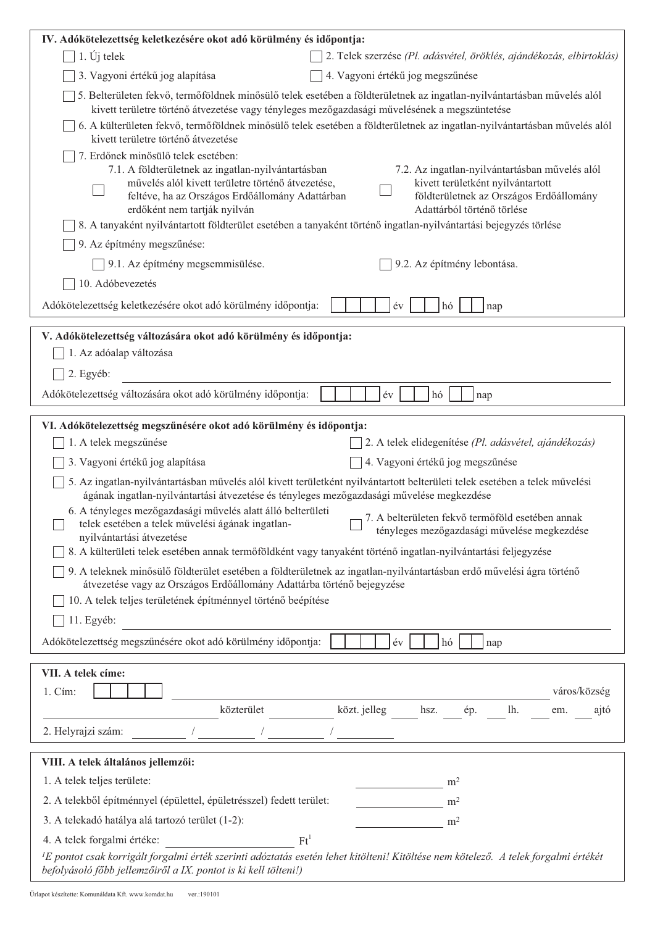| IV. Adókötelezettség keletkezésére okot adó körülmény és időpontja:                                                                                                                                                                                                                                                                                                                                                                                                                                                   |  |  |  |
|-----------------------------------------------------------------------------------------------------------------------------------------------------------------------------------------------------------------------------------------------------------------------------------------------------------------------------------------------------------------------------------------------------------------------------------------------------------------------------------------------------------------------|--|--|--|
| $1. Uj$ telek<br>2. Telek szerzése (Pl. adásvétel, öröklés, ajándékozás, elbirtoklás)                                                                                                                                                                                                                                                                                                                                                                                                                                 |  |  |  |
| 4. Vagyoni értékű jog megszűnése<br>3. Vagyoni értékű jog alapítása                                                                                                                                                                                                                                                                                                                                                                                                                                                   |  |  |  |
| 5. Belterületen fekvő, termőföldnek minősülő telek esetében a földterületnek az ingatlan-nyilvántartásban művelés alól<br>kivett területre történő átvezetése vagy tényleges mezőgazdasági művelésének a megszüntetése                                                                                                                                                                                                                                                                                                |  |  |  |
| 6. A külterületen fekvő, termőföldnek minősülő telek esetében a földterületnek az ingatlan-nyilvántartásban művelés alól<br>kivett területre történő átvezetése                                                                                                                                                                                                                                                                                                                                                       |  |  |  |
| 7. Erdőnek minősülő telek esetében:<br>7.1. A földterületnek az ingatlan-nyilvántartásban<br>7.2. Az ingatlan-nyilvántartásban művelés alól<br>művelés alól kivett területre történő átvezetése,<br>kivett területként nyilvántartott<br>feltéve, ha az Országos Erdőállomány Adattárban<br>földterületnek az Országos Erdőállomány<br>erdőként nem tartják nyilván<br>Adattárból történő törlése<br>8. A tanyaként nyilvántartott földterület esetében a tanyaként történő ingatlan-nyilvántartási bejegyzés törlése |  |  |  |
| 9. Az építmény megszűnése:                                                                                                                                                                                                                                                                                                                                                                                                                                                                                            |  |  |  |
| 9.1. Az építmény megsemmisülése.<br>9.2. Az építmény lebontása.                                                                                                                                                                                                                                                                                                                                                                                                                                                       |  |  |  |
| 10. Adóbevezetés                                                                                                                                                                                                                                                                                                                                                                                                                                                                                                      |  |  |  |
| Adókötelezettség keletkezésére okot adó körülmény időpontja:<br>év<br>hó<br>nap                                                                                                                                                                                                                                                                                                                                                                                                                                       |  |  |  |
| V. Adókötelezettség változására okot adó körülmény és időpontja:                                                                                                                                                                                                                                                                                                                                                                                                                                                      |  |  |  |
| 1. Az adóalap változása                                                                                                                                                                                                                                                                                                                                                                                                                                                                                               |  |  |  |
| 2. Egyéb:                                                                                                                                                                                                                                                                                                                                                                                                                                                                                                             |  |  |  |
| Adókötelezettség változására okot adó körülmény időpontja:<br>év<br>hó<br>nap                                                                                                                                                                                                                                                                                                                                                                                                                                         |  |  |  |
| VI. Adókötelezettség megszűnésére okot adó körülmény és időpontja:                                                                                                                                                                                                                                                                                                                                                                                                                                                    |  |  |  |
| 1. A telek megszűnése<br>2. A telek elidegenítése (Pl. adásvétel, ajándékozás)                                                                                                                                                                                                                                                                                                                                                                                                                                        |  |  |  |
| 4. Vagyoni értékű jog megszűnése<br>3. Vagyoni értékű jog alapítása                                                                                                                                                                                                                                                                                                                                                                                                                                                   |  |  |  |
| 5. Az ingatlan-nyilvántartásban művelés alól kivett területként nyilvántartott belterületi telek esetében a telek művelési                                                                                                                                                                                                                                                                                                                                                                                            |  |  |  |
| ágának ingatlan-nyilvántartási átvezetése és tényleges mezőgazdasági művelése megkezdése<br>6. A tényleges mezőgazdasági művelés alatt álló belterületi                                                                                                                                                                                                                                                                                                                                                               |  |  |  |
| 7. A belterületen fekvő termőföld esetében annak<br>telek esetében a telek művelési ágának ingatlan-<br>tényleges mezőgazdasági művelése megkezdése                                                                                                                                                                                                                                                                                                                                                                   |  |  |  |
| nyilvántartási átvezetése                                                                                                                                                                                                                                                                                                                                                                                                                                                                                             |  |  |  |
| 8. A külterületi telek esetében annak termőföldként vagy tanyaként történő ingatlan-nyilvántartási feljegyzése                                                                                                                                                                                                                                                                                                                                                                                                        |  |  |  |
| 9. A teleknek minősülő földterület esetében a földterületnek az ingatlan-nyilvántartásban erdő művelési ágra történő<br>átvezetése vagy az Országos Erdőállomány Adattárba történő bejegyzése                                                                                                                                                                                                                                                                                                                         |  |  |  |
| 10. A telek teljes területének építménnyel történő beépítése                                                                                                                                                                                                                                                                                                                                                                                                                                                          |  |  |  |
| 11. Egyéb:                                                                                                                                                                                                                                                                                                                                                                                                                                                                                                            |  |  |  |
| Adókötelezettség megszűnésére okot adó körülmény időpontja:<br>év<br>hó<br>nap                                                                                                                                                                                                                                                                                                                                                                                                                                        |  |  |  |
| VII. A telek címe:                                                                                                                                                                                                                                                                                                                                                                                                                                                                                                    |  |  |  |
| 1. Cím:<br>város/község                                                                                                                                                                                                                                                                                                                                                                                                                                                                                               |  |  |  |
| közterület<br>közt. jelleg<br>hsz.<br>ép.<br>lh.<br>ajtó<br>em.                                                                                                                                                                                                                                                                                                                                                                                                                                                       |  |  |  |
| 2. Helyrajzi szám:                                                                                                                                                                                                                                                                                                                                                                                                                                                                                                    |  |  |  |
| VIII. A telek általános jellemzői:                                                                                                                                                                                                                                                                                                                                                                                                                                                                                    |  |  |  |
| 1. A telek teljes területe:<br>m <sup>2</sup>                                                                                                                                                                                                                                                                                                                                                                                                                                                                         |  |  |  |
| 2. A telekből építménnyel (épülettel, épületrésszel) fedett terület:<br>m <sup>2</sup>                                                                                                                                                                                                                                                                                                                                                                                                                                |  |  |  |
| 3. A telekadó hatálya alá tartozó terület (1-2):<br>m <sup>2</sup>                                                                                                                                                                                                                                                                                                                                                                                                                                                    |  |  |  |
| $\mathrm{Ft}^1$<br>4. A telek forgalmi értéke:                                                                                                                                                                                                                                                                                                                                                                                                                                                                        |  |  |  |
| <sup>1</sup> E pontot csak korrigált forgalmi érték szerinti adóztatás esetén lehet kitölteni! Kitöltése nem kötelező. A telek forgalmi értékét<br>befolyásoló főbb jellemzőiről a IX. pontot is ki kell tölteni!)                                                                                                                                                                                                                                                                                                    |  |  |  |